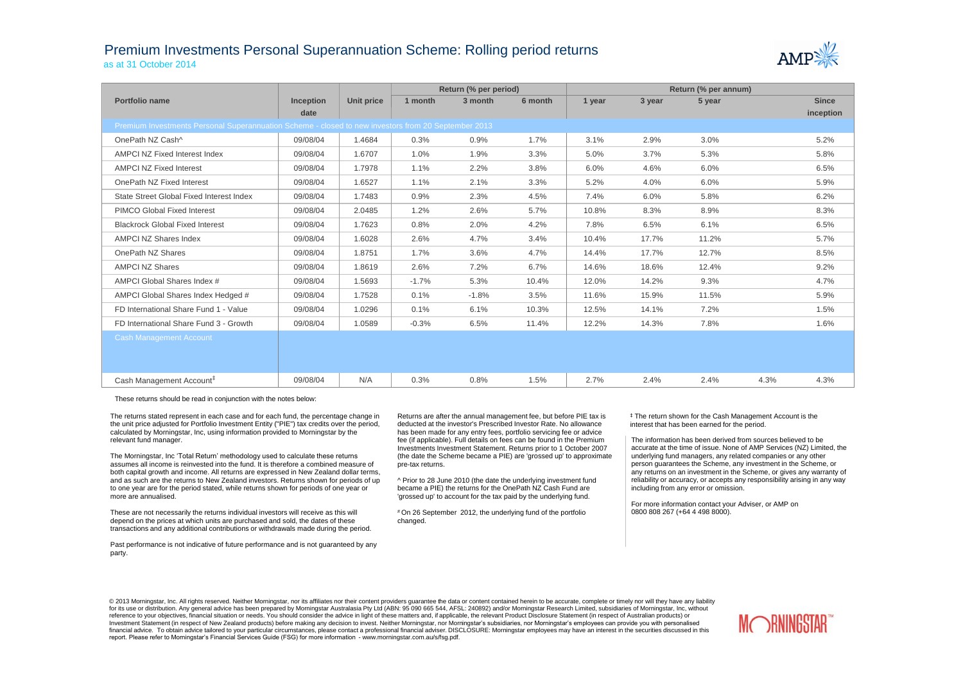## Premium Investments Personal Superannuation Scheme: Rolling period returns as at 31 October 2014



|                                                                                                     |                  |            |         | Return (% per period) |         | Return (% per annum) |        |        |      |              |  |
|-----------------------------------------------------------------------------------------------------|------------------|------------|---------|-----------------------|---------|----------------------|--------|--------|------|--------------|--|
| Portfolio name                                                                                      | <b>Inception</b> | Unit price | 1 month | 3 month               | 6 month | 1 year               | 3 year | 5 year |      | <b>Since</b> |  |
|                                                                                                     | date             |            |         |                       |         |                      |        |        |      | inception    |  |
| Premium Investments Personal Superannuation Scheme - closed to new investors from 20 September 2013 |                  |            |         |                       |         |                      |        |        |      |              |  |
| OnePath NZ Cash^                                                                                    | 09/08/04         | 1.4684     | 0.3%    | 0.9%                  | 1.7%    | 3.1%                 | 2.9%   | 3.0%   |      | 5.2%         |  |
| AMPCI NZ Fixed Interest Index                                                                       | 09/08/04         | 1.6707     | 1.0%    | 1.9%                  | 3.3%    | 5.0%                 | 3.7%   | 5.3%   |      | 5.8%         |  |
| <b>AMPCI NZ Fixed Interest</b>                                                                      | 09/08/04         | 1.7978     | 1.1%    | 2.2%                  | 3.8%    | 6.0%                 | 4.6%   | 6.0%   |      | 6.5%         |  |
| OnePath NZ Fixed Interest                                                                           | 09/08/04         | 1.6527     | 1.1%    | 2.1%                  | 3.3%    | 5.2%                 | 4.0%   | 6.0%   |      | 5.9%         |  |
| State Street Global Fixed Interest Index                                                            | 09/08/04         | 1.7483     | 0.9%    | 2.3%                  | 4.5%    | 7.4%                 | 6.0%   | 5.8%   |      | 6.2%         |  |
| PIMCO Global Fixed Interest                                                                         | 09/08/04         | 2.0485     | 1.2%    | 2.6%                  | 5.7%    | 10.8%                | 8.3%   | 8.9%   |      | 8.3%         |  |
| <b>Blackrock Global Fixed Interest</b>                                                              | 09/08/04         | 1.7623     | 0.8%    | 2.0%                  | 4.2%    | 7.8%                 | 6.5%   | 6.1%   |      | 6.5%         |  |
| <b>AMPCI NZ Shares Index</b>                                                                        | 09/08/04         | 1.6028     | 2.6%    | 4.7%                  | 3.4%    | 10.4%                | 17.7%  | 11.2%  |      | 5.7%         |  |
| OnePath NZ Shares                                                                                   | 09/08/04         | 1.8751     | 1.7%    | 3.6%                  | 4.7%    | 14.4%                | 17.7%  | 12.7%  |      | 8.5%         |  |
| <b>AMPCI NZ Shares</b>                                                                              | 09/08/04         | 1.8619     | 2.6%    | 7.2%                  | 6.7%    | 14.6%                | 18.6%  | 12.4%  |      | 9.2%         |  |
| AMPCI Global Shares Index #                                                                         | 09/08/04         | 1.5693     | $-1.7%$ | 5.3%                  | 10.4%   | 12.0%                | 14.2%  | 9.3%   |      | 4.7%         |  |
| AMPCI Global Shares Index Hedged #                                                                  | 09/08/04         | 1.7528     | 0.1%    | $-1.8%$               | 3.5%    | 11.6%                | 15.9%  | 11.5%  |      | 5.9%         |  |
| FD International Share Fund 1 - Value                                                               | 09/08/04         | 1.0296     | 0.1%    | 6.1%                  | 10.3%   | 12.5%                | 14.1%  | 7.2%   |      | 1.5%         |  |
| FD International Share Fund 3 - Growth                                                              | 09/08/04         | 1.0589     | $-0.3%$ | 6.5%                  | 11.4%   | 12.2%                | 14.3%  | 7.8%   |      | 1.6%         |  |
| <b>Cash Management Account</b>                                                                      |                  |            |         |                       |         |                      |        |        |      |              |  |
|                                                                                                     |                  |            |         |                       |         |                      |        |        |      |              |  |
|                                                                                                     |                  |            |         |                       |         |                      |        |        |      |              |  |
| Cash Management Account <sup>#</sup>                                                                | 09/08/04         | N/A        | 0.3%    | 0.8%                  | 1.5%    | 2.7%                 | 2.4%   | 2.4%   | 4.3% | 4.3%         |  |

These returns should be read in conjunction with the notes below:

The returns stated represent in each case and for each fund, the percentage change in the unit price adjusted for Portfolio Investment Entity ("PIE") tax credits over the period, calculated by Morningstar, Inc, using information provided to Morningstar by the relevant fund manager.

The Morningstar, Inc 'Total Return' methodology used to calculate these returns assumes all income is reinvested into the fund. It is therefore a combined measure of both capital growth and income. All returns are expressed in New Zealand dollar terms, and as such are the returns to New Zealand investors. Returns shown for periods of up to one year are for the period stated, while returns shown for periods of one year or more are annualised.

These are not necessarily the returns individual investors will receive as this will depend on the prices at which units are purchased and sold, the dates of these transactions and any additional contributions or withdrawals made during the period.

Past performance is not indicative of future performance and is not guaranteed by any party.

Returns are after the annual management fee, but before PIE tax is deducted at the investor's Prescribed Investor Rate. No allowance has been made for any entry fees, portfolio servicing fee or advice fee (if applicable). Full details on fees can be found in the Premium Investments Investment Statement. Returns prior to 1 October 2007 (the date the Scheme became a PIE) are 'grossed up' to approximate pre-tax returns.

^ Prior to 28 June 2010 (the date the underlying investment fund became a PIE) the returns for the OnePath NZ Cash Fund are 'grossed up' to account for the tax paid by the underlying fund.

# On 26 September 2012, the underlying fund of the portfolio changed.

‡ The return shown for the Cash Management Account is the interest that has been earned for the period.

The information has been derived from sources believed to be accurate at the time of issue. None of AMP Services (NZ) Limited, the underlying fund managers, any related companies or any other person guarantees the Scheme, any investment in the Scheme, or any returns on an investment in the Scheme, or gives any warranty of reliability or accuracy, or accepts any responsibility arising in any way including from any error or omission.

For more information contact your Adviser, or AMP on 0800 808 267 (+64 4 498 8000).

© 2013 Morningstar, Inc. All rights reserved. Neither Morningstar, nor its affiliates nor their content providers quarantee the data or content contained herein to be accurate, complete or timely nor will they have any lia for its use or distribution. Any general advice has been prepared by Morningstar Australasia Pty Ltd (ABN: 95 090 665 544, AFSL: 240892) and/or Morningstar Research Limited, subsidiaries of Morningstar, Inc, without reference to your objectives, financial situation or needs. You should consider the advice in light of these matters and, if applicable, the relevant Product Disclosure Statement (in respect of Australian products) or Investment Statement (in respect of New Zealand products) before making any decision to invest. Neither Morningstar, nor Morningstar's subsidiaries, nor Morningstar's employees can provide you with personalised financial advice. To obtain advice tailored to your particular circumstances, please contact a professional financial adviser. DISCLOSURE: Morningstar employees may have an interest in the securities discussed in this report. Please refer to Morningstar's Financial Services Guide (FSG) for more information - www.morningstar.com.au/s/fsg.pdf.